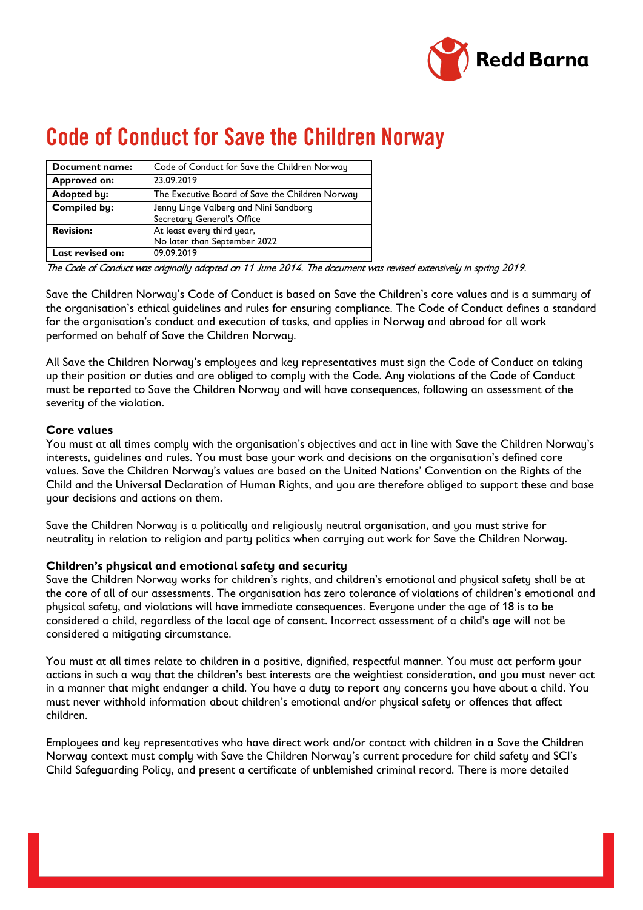

# Code of Conduct for Save the Children Norway

| <b>Document name:</b>   | Code of Conduct for Save the Children Norway                        |
|-------------------------|---------------------------------------------------------------------|
| <b>Approved on:</b>     | 23.09.2019                                                          |
| <b>Adopted by:</b>      | The Executive Board of Save the Children Norway                     |
| <b>Compiled by:</b>     | Jenny Linge Valberg and Nini Sandborg<br>Secretary General's Office |
| <b>Revision:</b>        | At least every third year,<br>No later than September 2022          |
| <b>Last revised on:</b> | 09.09.2019                                                          |

The Code of Conduct was originally adopted on 11 June 2014. The document was revised extensively in spring 2019.

Save the Children Norway's Code of Conduct is based on Save the Children's core values and is a summary of the organisation's ethical guidelines and rules for ensuring compliance. The Code of Conduct defines a standard for the organisation's conduct and execution of tasks, and applies in Norway and abroad for all work performed on behalf of Save the Children Norway.

All Save the Children Norway's employees and key representatives must sign the Code of Conduct on taking up their position or duties and are obliged to comply with the Code. Any violations of the Code of Conduct must be reported to Save the Children Norway and will have consequences, following an assessment of the severity of the violation.

# **Core values**

You must at all times comply with the organisation's objectives and act in line with Save the Children Norway's interests, guidelines and rules. You must base your work and decisions on the organisation's defined core values. Save the Children Norway's values are based on the United Nations' Convention on the Rights of the Child and the Universal Declaration of Human Rights, and you are therefore obliged to support these and base your decisions and actions on them.

Save the Children Norway is a politically and religiously neutral organisation, and you must strive for neutrality in relation to religion and party politics when carrying out work for Save the Children Norway.

## **Children's physical and emotional safety and security**

Save the Children Norway works for children's rights, and children's emotional and physical safety shall be at the core of all of our assessments. The organisation has zero tolerance of violations of children's emotional and physical safety, and violations will have immediate consequences. Everyone under the age of 18 is to be considered a child, regardless of the local age of consent. Incorrect assessment of a child's age will not be considered a mitigating circumstance.

You must at all times relate to children in a positive, dignified, respectful manner. You must act perform your actions in such a way that the children's best interests are the weightiest consideration, and you must never act in a manner that might endanger a child. You have a duty to report any concerns you have about a child. You must never withhold information about children's emotional and/or physical safety or offences that affect children.

Employees and key representatives who have direct work and/or contact with children in a Save the Children Norway context must comply with Save the Children Norway's current procedure for child safety and SCI's Child Safeguarding Policy, and present a certificate of unblemished criminal record. There is more detailed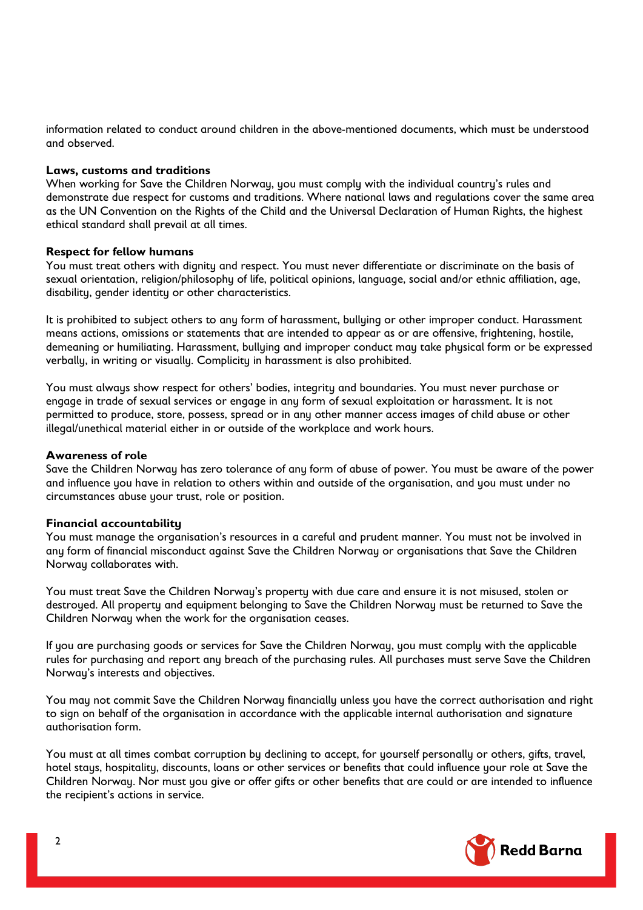information related to conduct around children in the above-mentioned documents, which must be understood and observed.

#### **Laws, customs and traditions**

When working for Save the Children Norway, you must comply with the individual country's rules and demonstrate due respect for customs and traditions. Where national laws and regulations cover the same area as the UN Convention on the Rights of the Child and the Universal Declaration of Human Rights, the highest ethical standard shall prevail at all times.

#### **Respect for fellow humans**

You must treat others with dignity and respect. You must never differentiate or discriminate on the basis of sexual orientation, religion/philosophy of life, political opinions, language, social and/or ethnic affiliation, age, disability, gender identity or other characteristics.

It is prohibited to subject others to any form of harassment, bullying or other improper conduct. Harassment means actions, omissions or statements that are intended to appear as or are offensive, frightening, hostile, demeaning or humiliating. Harassment, bullying and improper conduct may take physical form or be expressed verbally, in writing or visually. Complicity in harassment is also prohibited.

You must always show respect for others' bodies, integrity and boundaries. You must never purchase or engage in trade of sexual services or engage in any form of sexual exploitation or harassment. It is not permitted to produce, store, possess, spread or in any other manner access images of child abuse or other illegal/unethical material either in or outside of the workplace and work hours.

#### **Awareness of role**

Save the Children Norway has zero tolerance of any form of abuse of power. You must be aware of the power and influence you have in relation to others within and outside of the organisation, and you must under no circumstances abuse your trust, role or position.

#### **Financial accountability**

You must manage the organisation's resources in a careful and prudent manner. You must not be involved in any form of financial misconduct against Save the Children Norway or organisations that Save the Children Norway collaborates with.

You must treat Save the Children Norway's property with due care and ensure it is not misused, stolen or destroyed. All property and equipment belonging to Save the Children Norway must be returned to Save the Children Norway when the work for the organisation ceases.

If you are purchasing goods or services for Save the Children Norway, you must comply with the applicable rules for purchasing and report any breach of the purchasing rules. All purchases must serve Save the Children Norway's interests and objectives.

You may not commit Save the Children Norway financially unless you have the correct authorisation and right to sign on behalf of the organisation in accordance with the applicable internal authorisation and signature authorisation form.

You must at all times combat corruption by declining to accept, for yourself personally or others, gifts, travel, hotel staus, hospitality, discounts, loans or other services or benefits that could influence your role at Save the Children Norway. Nor must you give or offer gifts or other benefits that are could or are intended to influence the recipient's actions in service.

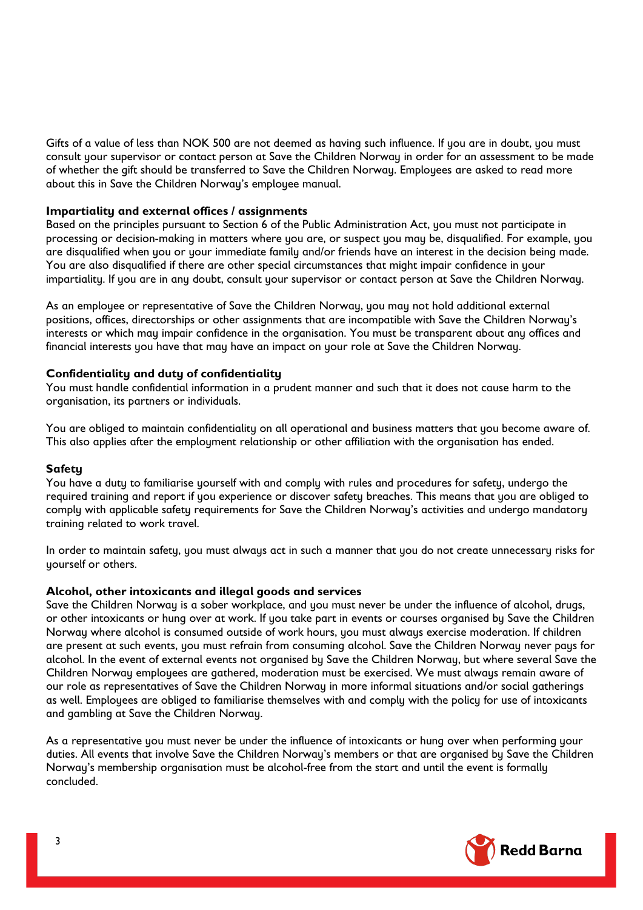Gifts of a value of less than NOK 500 are not deemed as having such influence. If you are in doubt, you must consult your supervisor or contact person at Save the Children Norway in order for an assessment to be made of whether the gift should be transferred to Save the Children Norway. Employees are asked to read more about this in Save the Children Norway's employee manual.

## **Impartiality and external offices / assignments**

Based on the principles pursuant to Section 6 of the Public Administration Act, you must not participate in processing or decision-making in matters where you are, or suspect you may be, disqualified. For example, you are disqualified when you or your immediate family and/or friends have an interest in the decision being made. You are also disqualified if there are other special circumstances that might impair confidence in your impartiality. If you are in any doubt, consult your supervisor or contact person at Save the Children Norway.

As an employee or representative of Save the Children Norway, you may not hold additional external positions, offices, directorships or other assignments that are incompatible with Save the Children Norway's interests or which may impair confidence in the organisation. You must be transparent about any offices and financial interests you have that may have an impact on your role at Save the Children Norway.

# **Confidentiality and duty of confidentiality**

You must handle confidential information in a prudent manner and such that it does not cause harm to the organisation, its partners or individuals.

You are obliged to maintain confidentiality on all operational and business matters that you become aware of. This also applies after the employment relationship or other affiliation with the organisation has ended.

## **Safety**

You have a duty to familiarise yourself with and comply with rules and procedures for safety, undergo the required training and report if you experience or discover safety breaches. This means that you are obliged to comply with applicable safety requirements for Save the Children Norway's activities and undergo mandatory training related to work travel.

In order to maintain safety, you must always act in such a manner that you do not create unnecessary risks for yourself or others.

## **Alcohol, other intoxicants and illegal goods and services**

Save the Children Norway is a sober workplace, and you must never be under the influence of alcohol, drugs, or other intoxicants or hung over at work. If you take part in events or courses organised by Save the Children Norway where alcohol is consumed outside of work hours, you must always exercise moderation. If children are present at such events, you must refrain from consuming alcohol. Save the Children Norway never paus for alcohol. In the event of external events not organised by Save the Children Norway, but where several Save the Children Norway employees are gathered, moderation must be exercised. We must always remain aware of our role as representatives of Save the Children Norway in more informal situations and/or social gatherings as well. Employees are obliged to familiarise themselves with and comply with the policy for use of intoxicants and gambling at Save the Children Norway.

As a representative you must never be under the influence of intoxicants or hung over when performing your duties. All events that involve Save the Children Norway's members or that are organised by Save the Children Norway's membership organisation must be alcohol-free from the start and until the event is formally concluded.